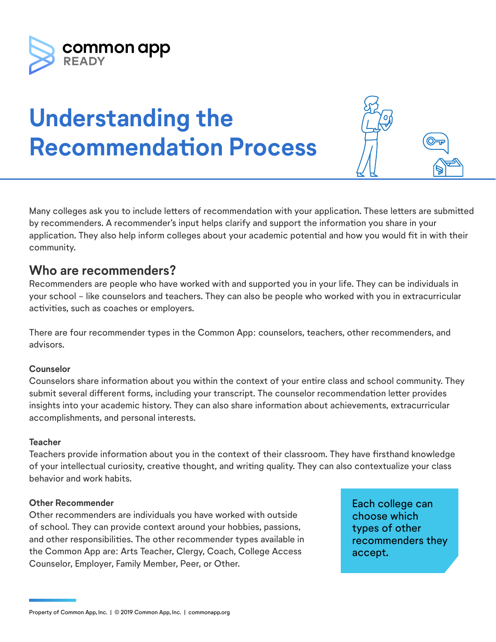

# **Understanding the Recommendation Process**

Many colleges ask you to include letters of recommendation with your application. These letters are submitted by recommenders. A recommender's input helps clarify and support the information you share in your application. They also help inform colleges about your academic potential and how you would fit in with their community.

## **Who are recommenders?**

Recommenders are people who have worked with and supported you in your life. They can be individuals in your school - like counselors and teachers. They can also be people who worked with you in extracurricular activities, such as coaches or employers.

There are four recommender types in the Common App: counselors, teachers, other recommenders, and advisors.

### **Counselor**

Counselors share information about you within the context of your entire class and school community. They submit several different forms, including your transcript. The counselor recommendation letter provides insights into your academic history. They can also share information about achievements, extracurricular accomplishments, and personal interests.

#### **Teacher**

Teachers provide information about you in the context of their classroom. They have firsthand knowledge of your intellectual curiosity, creative thought, and writing quality. They can also contextualize your class behavior and work habits.

#### **Other Recommender**

Other recommenders are individuals you have worked with outside of school. They can provide context around your hobbies, passions, and other responsibilities. The other recommender types available in the Common App are: Arts Teacher, Clergy, Coach, College Access Counselor, Employer, Family Member, Peer, or Other.

Each college can choose which types of other recommenders they accept.